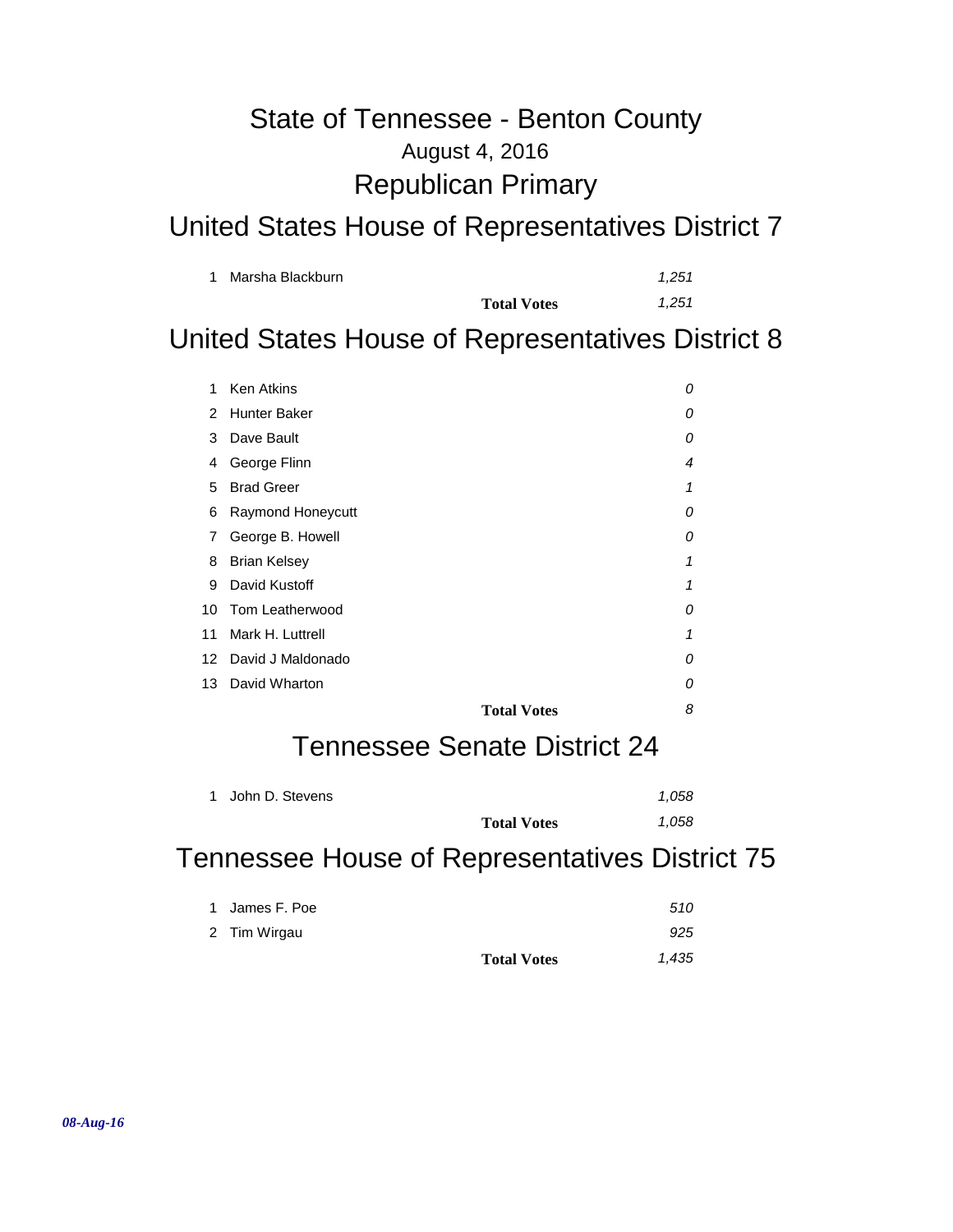## August 4, 2016 State of Tennessee - Benton County Republican Primary

### United States House of Representatives District 7

| Marsha Blackburn |                    | 1.251 |
|------------------|--------------------|-------|
|                  | <b>Total Votes</b> | 1.251 |

### United States House of Representatives District 8

| 1  | <b>Ken Atkins</b>   |                    | 0 |
|----|---------------------|--------------------|---|
| 2  | <b>Hunter Baker</b> |                    | 0 |
| 3  | Dave Bault          |                    | 0 |
| 4  | George Flinn        |                    | 4 |
| 5  | <b>Brad Greer</b>   |                    | 1 |
| 6  | Raymond Honeycutt   |                    | 0 |
| 7  | George B. Howell    |                    | 0 |
| 8  | <b>Brian Kelsey</b> |                    | 1 |
| 9  | David Kustoff       |                    | 1 |
| 10 | Tom Leatherwood     |                    | 0 |
| 11 | Mark H. Luttrell    |                    | 1 |
| 12 | David J Maldonado   |                    | 0 |
| 13 | David Wharton       |                    | 0 |
|    |                     | <b>Total Votes</b> | 8 |

### Tennessee Senate District 24

| 1 John D. Stevens |                    | 1.058 |
|-------------------|--------------------|-------|
|                   | <b>Total Votes</b> | 1.058 |

### Tennessee House of Representatives District 75

|                | <b>Total Votes</b> | 1,435 |
|----------------|--------------------|-------|
| 2 Tim Wirgau   |                    | 925   |
| 1 James F. Poe |                    | 510   |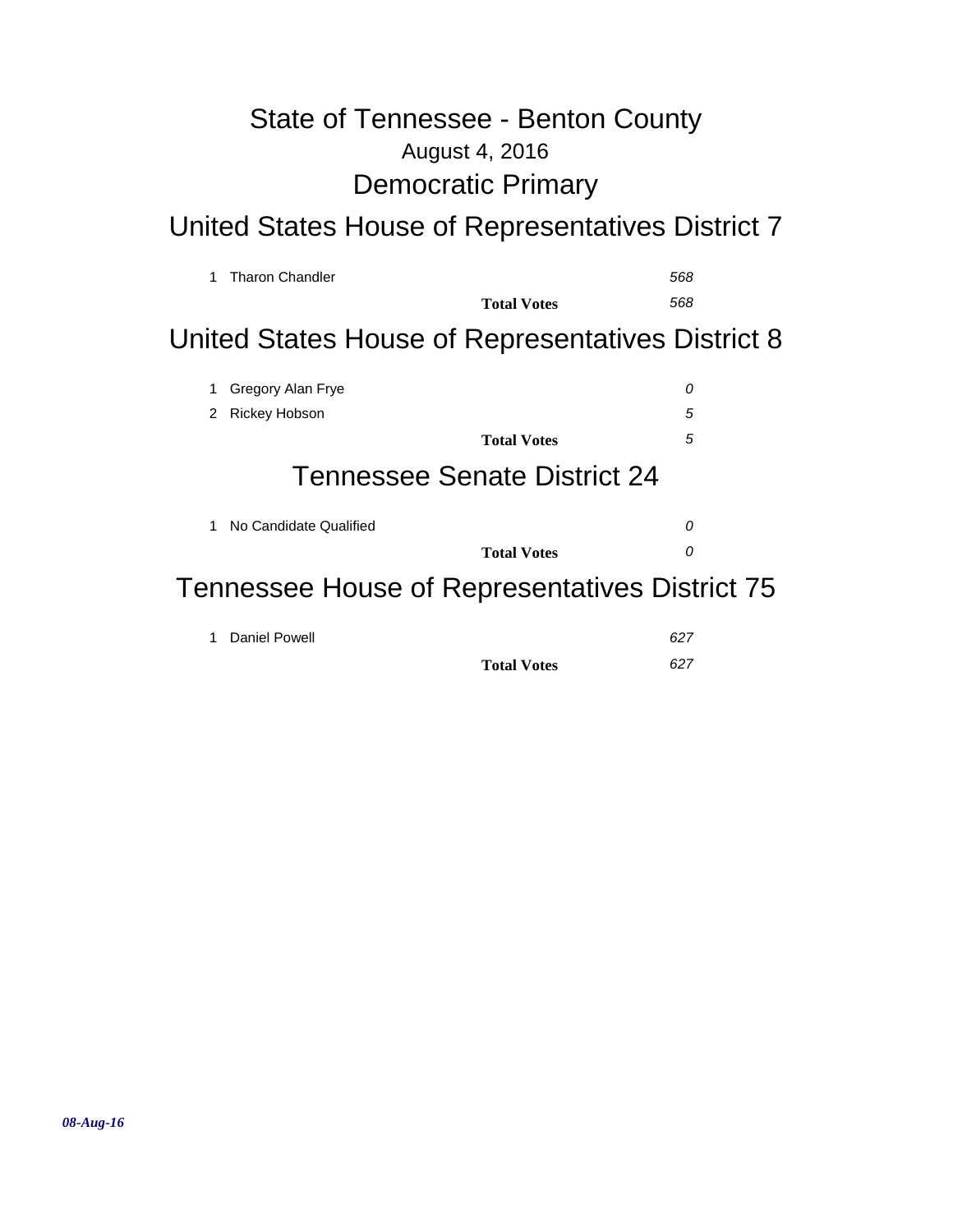# August 4, 2016 State of Tennessee - Benton County Democratic Primary

# United States House of Representatives District 7

| 1 | <b>Tharon Chandler</b>                                |                              | 568 |
|---|-------------------------------------------------------|------------------------------|-----|
|   |                                                       | <b>Total Votes</b>           | 568 |
|   | United States House of Representatives District 8     |                              |     |
| 1 | Gregory Alan Frye                                     |                              | 0   |
| 2 | <b>Rickey Hobson</b>                                  |                              | 5   |
|   |                                                       | <b>Total Votes</b>           | 5   |
|   |                                                       | Tennessee Senate District 24 |     |
| 1 | No Candidate Qualified                                |                              | 0   |
|   |                                                       | <b>Total Votes</b>           | 0   |
|   | <b>Tennessee House of Representatives District 75</b> |                              |     |

| 1 Daniel Powell |                    | 627 |
|-----------------|--------------------|-----|
|                 | <b>Total Votes</b> | 627 |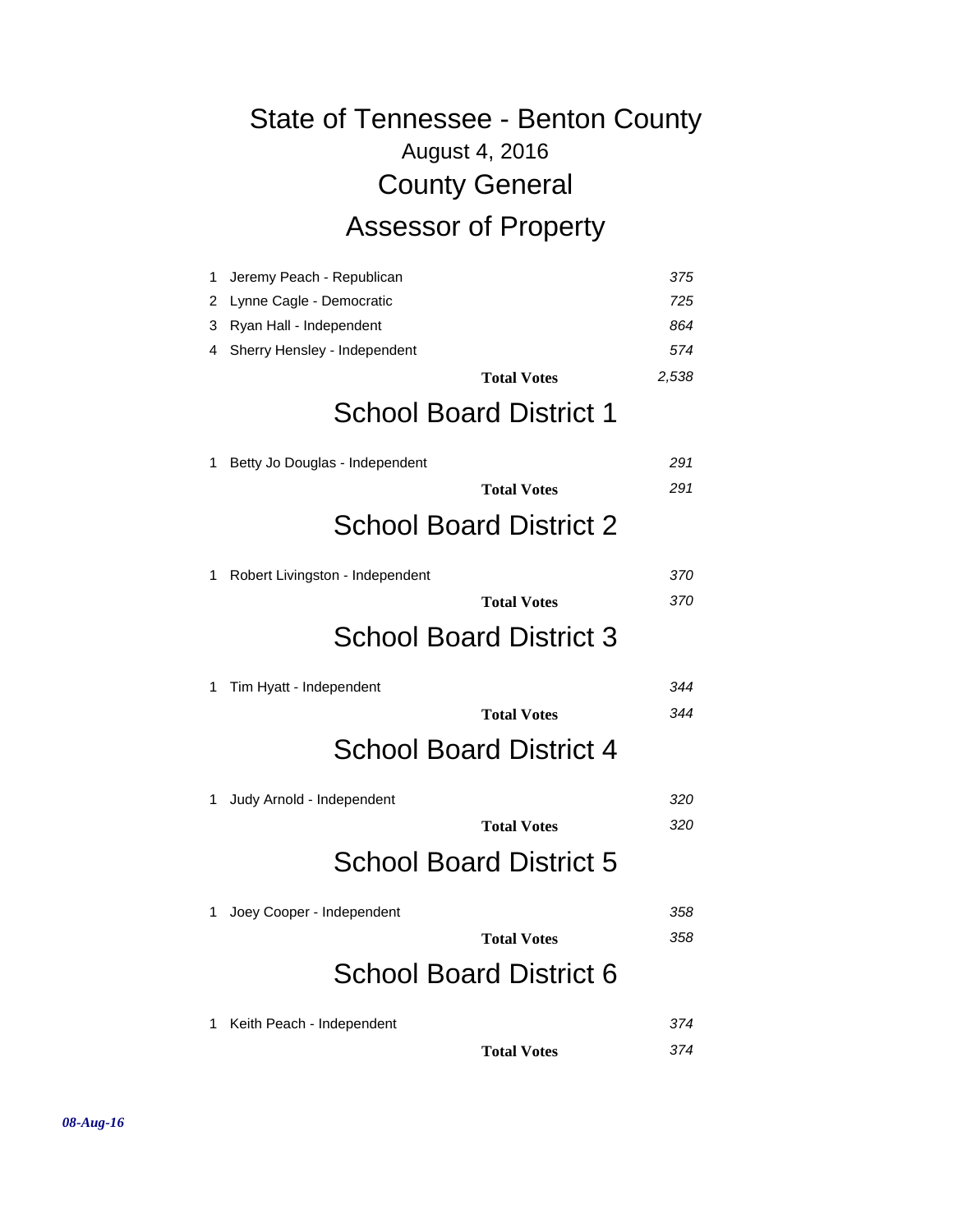# August 4, 2016 State of Tennessee - Benton County County General Assessor of Property

| 1 | Jeremy Peach - Republican       | 375   |
|---|---------------------------------|-------|
| 2 | Lynne Cagle - Democratic        | 725   |
| 3 | Ryan Hall - Independent         | 864   |
| 4 | Sherry Hensley - Independent    | 574   |
|   | <b>Total Votes</b>              | 2,538 |
|   | <b>School Board District 1</b>  |       |
| 1 | Betty Jo Douglas - Independent  | 291   |
|   | <b>Total Votes</b>              | 291   |
|   | <b>School Board District 2</b>  |       |
| 1 | Robert Livingston - Independent | 370   |
|   | <b>Total Votes</b>              | 370   |
|   | <b>School Board District 3</b>  |       |
|   |                                 |       |
| 1 | Tim Hyatt - Independent         | 344   |
|   | <b>Total Votes</b>              | 344   |
|   | <b>School Board District 4</b>  |       |
| 1 | Judy Arnold - Independent       | 320   |
|   | <b>Total Votes</b>              | 320   |
|   | <b>School Board District 5</b>  |       |
| 1 | Joey Cooper - Independent       | 358   |
|   | <b>Total Votes</b>              | 358   |
|   | <b>School Board District 6</b>  |       |
| 1 | Keith Peach - Independent       | 374   |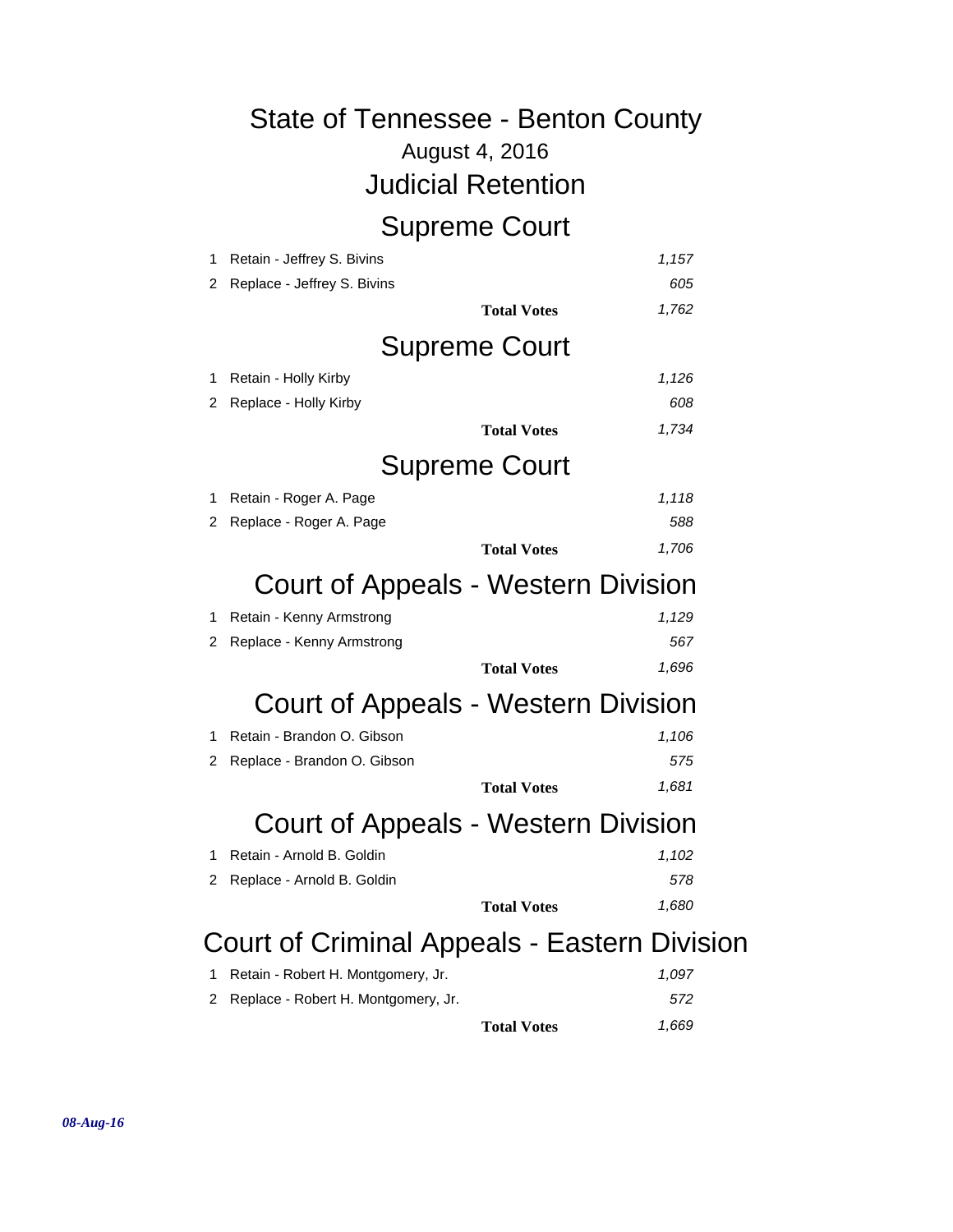### August 4, 2016 State of Tennessee - Benton County Judicial Retention Supreme Court 1 Retain - Jeffrey S. Bivins *1,157* 2 Replace - Jeffrey S. Bivins *605* **Total Votes** *1,762* Supreme Court 1 Retain - Holly Kirby *1,126* 2 Replace - Holly Kirby *608* **Total Votes** *1,734* Supreme Court 1 Retain - Roger A. Page *1,118* 2 Replace - Roger A. Page *588* **Total Votes** *1,706* Court of Appeals - Western Division 1 Retain - Kenny Armstrong *1,129* 2 Replace - Kenny Armstrong *567* **Total Votes** *1,696* Court of Appeals - Western Division 1 Retain - Brandon O. Gibson *1,106* 2 Replace - Brandon O. Gibson *575* **Total Votes** *1,681* Court of Appeals - Western Division 1 Retain - Arnold B. Goldin *1,102* 2 Replace - Arnold B. Goldin *578* **Total Votes** *1,680* Court of Criminal Appeals - Eastern Division 1 Retain - Robert H. Montgomery, Jr. *1,097*

| 2 Replace - Robert H. Montgomery, Jr. |                    | 572   |
|---------------------------------------|--------------------|-------|
|                                       | <b>Total Votes</b> | 1,669 |